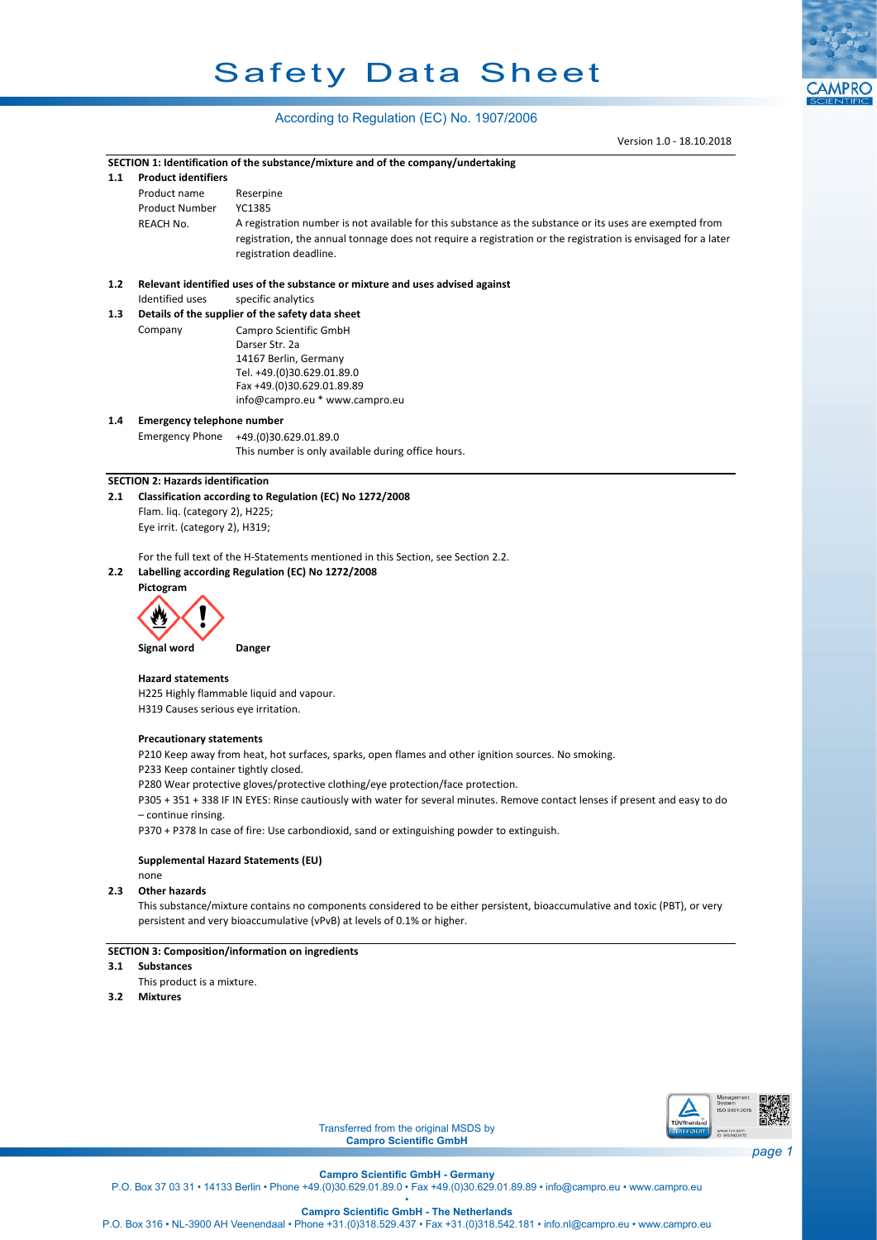# Safety Data Sheet

# According to Regulation (EC) No. 1907/2006

Version 1.0 - 18.10.2018

**CAMPRO** 

|     |                                          | Version 1.0 - 18.10.2018                                                                                                      |        |  |  |  |
|-----|------------------------------------------|-------------------------------------------------------------------------------------------------------------------------------|--------|--|--|--|
|     |                                          | SECTION 1: Identification of the substance/mixture and of the company/undertaking                                             |        |  |  |  |
| 1.1 | <b>Product identifiers</b>               |                                                                                                                               |        |  |  |  |
|     | Product name                             | Reserpine                                                                                                                     |        |  |  |  |
|     | <b>Product Number</b>                    | YC1385                                                                                                                        |        |  |  |  |
|     | REACH No.                                | A registration number is not available for this substance as the substance or its uses are exempted from                      |        |  |  |  |
|     |                                          | registration, the annual tonnage does not require a registration or the registration is envisaged for a later                 |        |  |  |  |
|     |                                          | registration deadline.                                                                                                        |        |  |  |  |
| 1.2 |                                          | Relevant identified uses of the substance or mixture and uses advised against                                                 |        |  |  |  |
|     | <b>Identified uses</b>                   | specific analytics                                                                                                            |        |  |  |  |
| 1.3 |                                          | Details of the supplier of the safety data sheet                                                                              |        |  |  |  |
|     | Company                                  | Campro Scientific GmbH                                                                                                        |        |  |  |  |
|     |                                          | Darser Str. 2a                                                                                                                |        |  |  |  |
|     |                                          | 14167 Berlin, Germany                                                                                                         |        |  |  |  |
|     |                                          | Tel. +49.(0)30.629.01.89.0                                                                                                    |        |  |  |  |
|     |                                          | Fax +49.(0)30.629.01.89.89                                                                                                    |        |  |  |  |
|     |                                          | info@campro.eu * www.campro.eu                                                                                                |        |  |  |  |
| 1.4 | <b>Emergency telephone number</b>        |                                                                                                                               |        |  |  |  |
|     | <b>Emergency Phone</b>                   | +49.(0)30.629.01.89.0                                                                                                         |        |  |  |  |
|     |                                          | This number is only available during office hours.                                                                            |        |  |  |  |
|     | <b>SECTION 2: Hazards identification</b> |                                                                                                                               |        |  |  |  |
| 2.1 |                                          | Classification according to Regulation (EC) No 1272/2008                                                                      |        |  |  |  |
|     | Flam. liq. (category 2), H225;           |                                                                                                                               |        |  |  |  |
|     | Eye irrit. (category 2), H319;           |                                                                                                                               |        |  |  |  |
|     |                                          |                                                                                                                               |        |  |  |  |
|     |                                          | For the full text of the H-Statements mentioned in this Section, see Section 2.2.                                             |        |  |  |  |
| 2.2 |                                          | Labelling according Regulation (EC) No 1272/2008                                                                              |        |  |  |  |
|     | Pictogram                                |                                                                                                                               |        |  |  |  |
|     |                                          |                                                                                                                               |        |  |  |  |
|     |                                          |                                                                                                                               |        |  |  |  |
|     |                                          |                                                                                                                               |        |  |  |  |
|     | Signal word                              | Danger                                                                                                                        |        |  |  |  |
|     | <b>Hazard statements</b>                 |                                                                                                                               |        |  |  |  |
|     |                                          | H225 Highly flammable liquid and vapour.                                                                                      |        |  |  |  |
|     | H319 Causes serious eye irritation.      |                                                                                                                               |        |  |  |  |
|     |                                          |                                                                                                                               |        |  |  |  |
|     | <b>Precautionary statements</b>          |                                                                                                                               |        |  |  |  |
|     |                                          | P210 Keep away from heat, hot surfaces, sparks, open flames and other ignition sources. No smoking.                           |        |  |  |  |
|     |                                          | P233 Keep container tightly closed.                                                                                           |        |  |  |  |
|     |                                          | P280 Wear protective gloves/protective clothing/eye protection/face protection.                                               |        |  |  |  |
|     | - continue rinsing.                      | P305 + 351 + 338 IF IN EYES: Rinse cautiously with water for several minutes. Remove contact lenses if present and easy to do |        |  |  |  |
|     |                                          | P370 + P378 In case of fire: Use carbondioxid, sand or extinguishing powder to extinguish.                                    |        |  |  |  |
|     |                                          |                                                                                                                               |        |  |  |  |
|     |                                          | Supplemental Hazard Statements (EU)                                                                                           |        |  |  |  |
|     | none                                     |                                                                                                                               |        |  |  |  |
| 2.3 | <b>Other hazards</b>                     |                                                                                                                               |        |  |  |  |
|     |                                          | This substance/mixture contains no components considered to be either persistent, bioaccumulative and toxic (PBT), or very    |        |  |  |  |
|     |                                          | persistent and very bioaccumulative (vPvB) at levels of 0.1% or higher.                                                       |        |  |  |  |
|     |                                          |                                                                                                                               |        |  |  |  |
| 3.1 | <b>Substances</b>                        | SECTION 3: Composition/information on ingredients                                                                             |        |  |  |  |
|     | This product is a mixture.               |                                                                                                                               |        |  |  |  |
| 3.2 | <b>Mixtures</b>                          |                                                                                                                               |        |  |  |  |
|     |                                          |                                                                                                                               |        |  |  |  |
|     |                                          |                                                                                                                               |        |  |  |  |
|     |                                          |                                                                                                                               |        |  |  |  |
|     |                                          |                                                                                                                               |        |  |  |  |
|     |                                          |                                                                                                                               |        |  |  |  |
|     |                                          | Management                                                                                                                    |        |  |  |  |
|     |                                          | System<br>ISO 9001:2015                                                                                                       |        |  |  |  |
|     |                                          | TŪVRheinland<br>Transferred from the original MSDS by<br>ERTIFIZIERT                                                          |        |  |  |  |
|     |                                          | www.tuv.com<br>ID 9108622470<br><b>Campro Scientific GmbH</b>                                                                 |        |  |  |  |
|     |                                          |                                                                                                                               | page 1 |  |  |  |
|     |                                          | <b>Campro Scientific GmbH - Germany</b>                                                                                       |        |  |  |  |

P.O. Box 37 03 31 • 14133 Berlin • Phone +49.(0)30.629.01.89.0 • Fax +49.(0)30.629.01.89.89 • info@campro.eu •<www.campro.eu> •

**Campro Scientific GmbH - The Netherlands**

P.O. Box 316 • NL-3900 AH Veenendaal • Phone +31.(0)318.529.437 • Fax +31.(0)318.542.181 • info.nl@campro.eu • <www.campro.eu>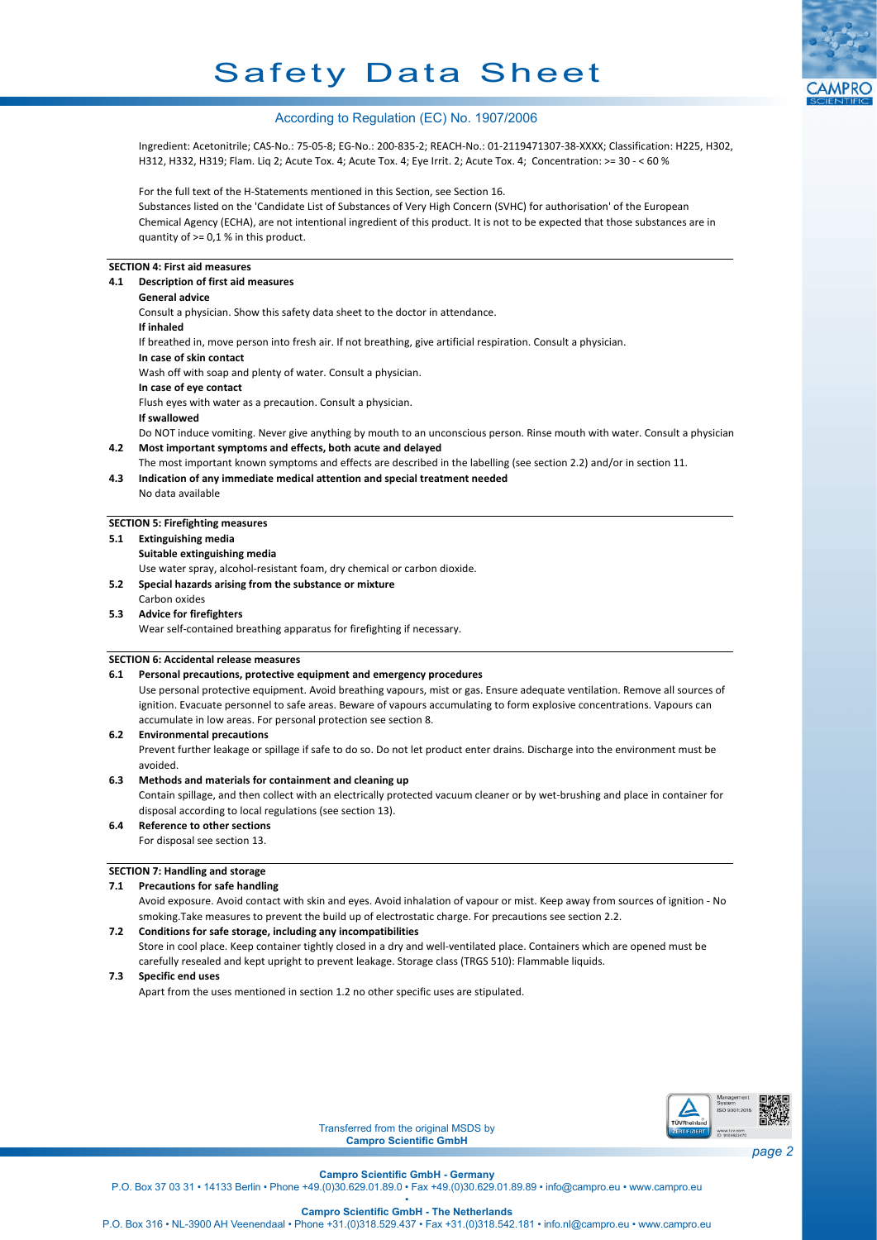# Safety Data Sheet



# According to Regulation (EC) No. 1907/2006

Ingredient: Acetonitrile; CAS-No.: 75-05-8; EG-No.: 200-835-2; REACH-No.: 01-2119471307-38-XXXX; Classification: H225, H302, H312, H332, H319; Flam. Liq 2; Acute Tox. 4; Acute Tox. 4; Eye Irrit. 2; Acute Tox. 4; Concentration: >= 30 - < 60 %

For the full text of the H-Statements mentioned in this Section, see Section 16.

Substances listed on the 'Candidate List of Substances of Very High Concern (SVHC) for authorisation' of the European Chemical Agency (ECHA), are not intentional ingredient of this product. It is not to be expected that those substances are in quantity of  $>= 0.1$  % in this product.

# **SECTION 4: First aid measures**

| 4.1 | Description of first aid measures                                                                                          |  |  |
|-----|----------------------------------------------------------------------------------------------------------------------------|--|--|
|     | <b>General advice</b>                                                                                                      |  |  |
|     | Consult a physician. Show this safety data sheet to the doctor in attendance.                                              |  |  |
|     | If inhaled                                                                                                                 |  |  |
|     | If breathed in, move person into fresh air. If not breathing, give artificial respiration. Consult a physician.            |  |  |
|     | In case of skin contact                                                                                                    |  |  |
|     | Wash off with soap and plenty of water. Consult a physician.                                                               |  |  |
|     | In case of eye contact                                                                                                     |  |  |
|     | Flush eyes with water as a precaution. Consult a physician.                                                                |  |  |
|     | If swallowed                                                                                                               |  |  |
|     | Do NOT induce vomiting. Never give anything by mouth to an unconscious person. Rinse mouth with water. Consult a physician |  |  |
| 4.2 | Most important symptoms and effects, both acute and delayed                                                                |  |  |
|     | The most important known symptoms and effects are described in the labelling (see section 2.2) and/or in section 11.       |  |  |
| 4.3 | Indication of any immediate medical attention and special treatment needed                                                 |  |  |
|     | No data available                                                                                                          |  |  |

# **SECTION 5: Firefighting measures**

#### **5.1 Extinguishing media**

**Suitable extinguishing media**

Use water spray, alcohol-resistant foam, dry chemical or carbon dioxide.

**5.2 Special hazards arising from the substance or mixture**

#### Carbon oxides **5.3 Advice for firefighters**

Wear self-contained breathing apparatus for firefighting if necessary.

#### **SECTION 6: Accidental release measures**

#### **6.1 Personal precautions, protective equipment and emergency procedures**

Use personal protective equipment. Avoid breathing vapours, mist or gas. Ensure adequate ventilation. Remove all sources of ignition. Evacuate personnel to safe areas. Beware of vapours accumulating to form explosive concentrations. Vapours can accumulate in low areas. For personal protection see section 8.

#### **6.2 Environmental precautions**

Prevent further leakage or spillage if safe to do so. Do not let product enter drains. Discharge into the environment must be avoided.

#### **6.3 Methods and materials for containment and cleaning up**

Contain spillage, and then collect with an electrically protected vacuum cleaner or by wet-brushing and place in container for disposal according to local regulations (see section 13).

**6.4 Reference to other sections**

# For disposal see section 13.

#### **SECTION 7: Handling and storage**

#### **7.1 Precautions for safe handling**

Avoid exposure. Avoid contact with skin and eyes. Avoid inhalation of vapour or mist. Keep away from sources of ignition - No smoking.Take measures to prevent the build up of electrostatic charge. For precautions see section 2.2.

# **7.2 Conditions for safe storage, including any incompatibilities**

Store in cool place. Keep container tightly closed in a dry and well-ventilated place. Containers which are opened must be carefully resealed and kept upright to prevent leakage. Storage class (TRGS 510): Flammable liquids.

#### **7.3 Specific end uses**

Apart from the uses mentioned in section 1.2 no other specific uses are stipulated.



Transferred from the original MSDS by **Campro Scientific GmbH**

**Campro Scientific GmbH - Germany**

P.O. Box 37 03 31 • 14133 Berlin • Phone +49.(0)30.629.01.89.0 • Fax +49.(0)30.629.01.89.89 • info@campro.eu •<www.campro.eu>

• **Campro Scientific GmbH - The Netherlands**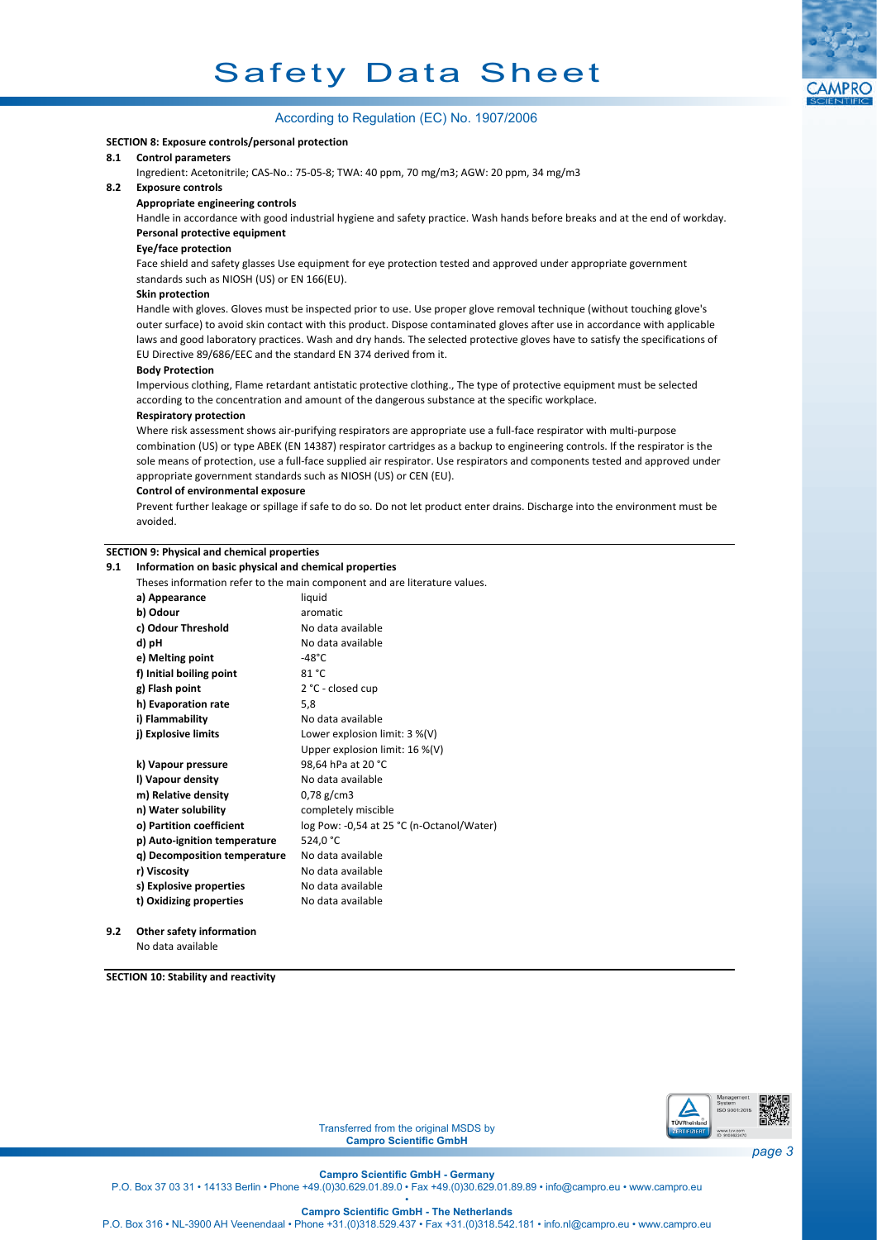

### **SECTION 8: Exposure controls/personal protection**

# **8.1 Control parameters**

Ingredient: Acetonitrile; CAS-No.: 75-05-8; TWA: 40 ppm, 70 mg/m3; AGW: 20 ppm, 34 mg/m3

# **8.2 Exposure controls**

**Appropriate engineering controls**

Handle in accordance with good industrial hygiene and safety practice. Wash hands before breaks and at the end of workday. **Personal protective equipment**

#### **Eye/face protection**

Face shield and safety glasses Use equipment for eye protection tested and approved under appropriate government standards such as NIOSH (US) or EN 166(EU).

#### **Skin protection**

Handle with gloves. Gloves must be inspected prior to use. Use proper glove removal technique (without touching glove's outer surface) to avoid skin contact with this product. Dispose contaminated gloves after use in accordance with applicable laws and good laboratory practices. Wash and dry hands. The selected protective gloves have to satisfy the specifications of EU Directive 89/686/EEC and the standard EN 374 derived from it.

#### **Body Protection**

Impervious clothing, Flame retardant antistatic protective clothing., The type of protective equipment must be selected according to the concentration and amount of the dangerous substance at the specific workplace.

#### **Respiratory protection**

Where risk assessment shows air-purifying respirators are appropriate use a full-face respirator with multi-purpose combination (US) or type ABEK (EN 14387) respirator cartridges as a backup to engineering controls. If the respirator is the sole means of protection, use a full-face supplied air respirator. Use respirators and components tested and approved under appropriate government standards such as NIOSH (US) or CEN (EU).

### **Control of environmental exposure**

Prevent further leakage or spillage if safe to do so. Do not let product enter drains. Discharge into the environment must be avoided.

# **SECTION 9: Physical and chemical properties**

| 9.1 | Information on basic physical and chemical properties                     |                                           |  |  |  |
|-----|---------------------------------------------------------------------------|-------------------------------------------|--|--|--|
|     | Theses information refer to the main component and are literature values. |                                           |  |  |  |
|     | a) Appearance                                                             | liquid                                    |  |  |  |
|     | b) Odour                                                                  | aromatic                                  |  |  |  |
|     | c) Odour Threshold                                                        | No data available                         |  |  |  |
|     | d) pH                                                                     | No data available                         |  |  |  |
|     | e) Melting point                                                          | $-48^{\circ}$ C                           |  |  |  |
|     | f) Initial boiling point                                                  | 81 °C                                     |  |  |  |
|     | g) Flash point                                                            | 2 °C - closed cup                         |  |  |  |
|     | h) Evaporation rate                                                       | 5,8                                       |  |  |  |
|     | i) Flammability                                                           | No data available                         |  |  |  |
|     | j) Explosive limits                                                       | Lower explosion limit: $3\%$ (V)          |  |  |  |
|     |                                                                           | Upper explosion limit: 16 %(V)            |  |  |  |
|     | k) Vapour pressure                                                        | 98,64 hPa at 20 °C                        |  |  |  |
|     | I) Vapour density                                                         | No data available                         |  |  |  |
|     | m) Relative density                                                       | $0,78 \text{ g/cm}$ 3                     |  |  |  |
|     | n) Water solubility                                                       | completely miscible                       |  |  |  |
|     | o) Partition coefficient                                                  | log Pow: -0,54 at 25 °C (n-Octanol/Water) |  |  |  |
|     | p) Auto-ignition temperature                                              | 524.0 °C                                  |  |  |  |
|     | q) Decomposition temperature                                              | No data available                         |  |  |  |
|     | r) Viscosity                                                              | No data available                         |  |  |  |
|     | s) Explosive properties                                                   | No data available                         |  |  |  |
|     | t) Oxidizing properties                                                   | No data available                         |  |  |  |
|     |                                                                           |                                           |  |  |  |

**9.2 Other safety information** No data available

**SECTION 10: Stability and reactivity**



Transferred from the original MSDS by **Campro Scientific GmbH**

*page 3*

**Campro Scientific GmbH - Germany**

P.O. Box 37 03 31 • 14133 Berlin • Phone +49.(0)30.629.01.89.0 • Fax +49.(0)30.629.01.89.89 • info@campro.eu •<www.campro.eu>

• **Campro Scientific GmbH - The Netherlands**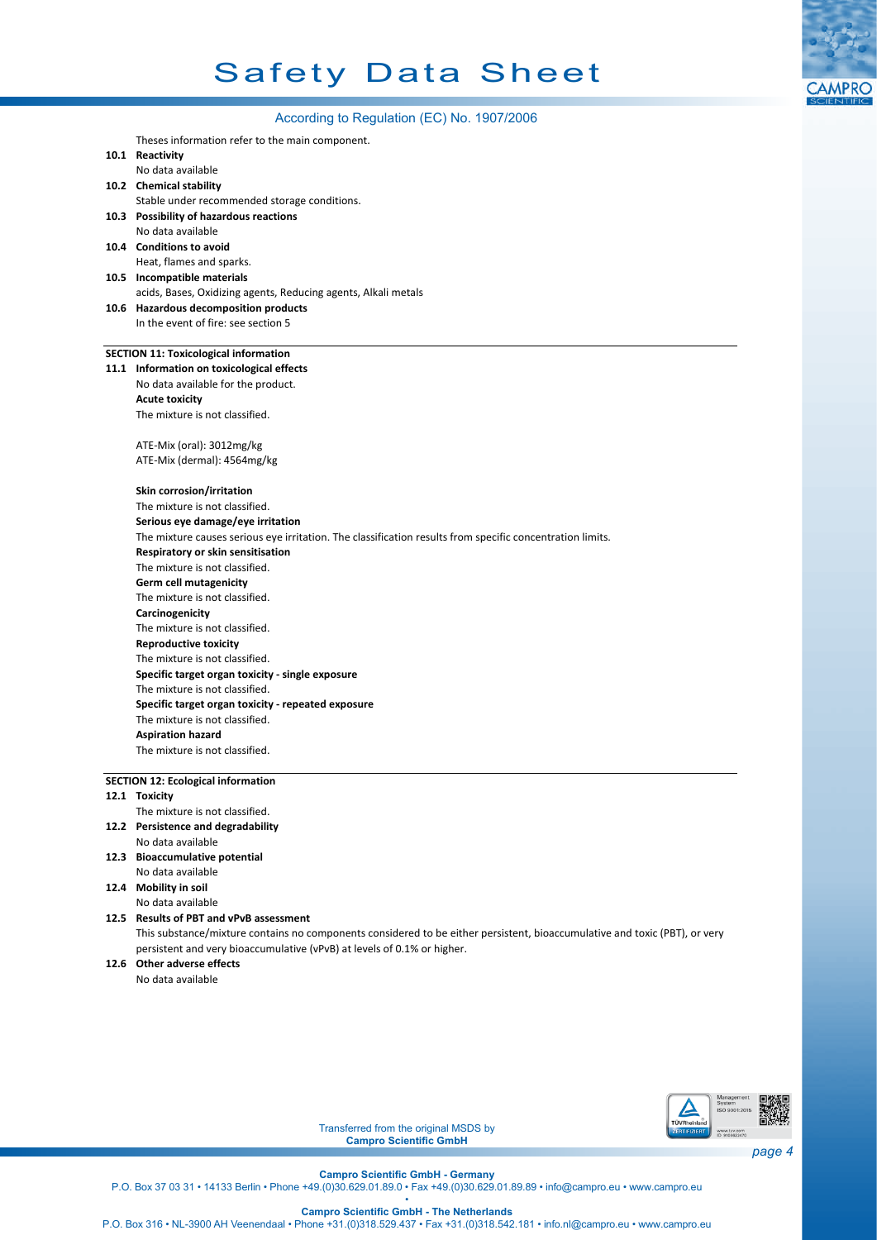# Safety Data Sheet



| According to Regulation (EC) No. 1907/2006                                                                |  |  |  |  |
|-----------------------------------------------------------------------------------------------------------|--|--|--|--|
| Theses information refer to the main component.                                                           |  |  |  |  |
| 10.1 Reactivity                                                                                           |  |  |  |  |
| No data available                                                                                         |  |  |  |  |
| 10.2 Chemical stability                                                                                   |  |  |  |  |
| Stable under recommended storage conditions.                                                              |  |  |  |  |
| 10.3 Possibility of hazardous reactions                                                                   |  |  |  |  |
| No data available                                                                                         |  |  |  |  |
| 10.4 Conditions to avoid                                                                                  |  |  |  |  |
| Heat, flames and sparks.                                                                                  |  |  |  |  |
| 10.5 Incompatible materials                                                                               |  |  |  |  |
| acids, Bases, Oxidizing agents, Reducing agents, Alkali metals                                            |  |  |  |  |
| 10.6 Hazardous decomposition products                                                                     |  |  |  |  |
| In the event of fire: see section 5                                                                       |  |  |  |  |
|                                                                                                           |  |  |  |  |
| <b>SECTION 11: Toxicological information</b><br>11.1 Information on toxicological effects                 |  |  |  |  |
| No data available for the product.                                                                        |  |  |  |  |
| <b>Acute toxicity</b>                                                                                     |  |  |  |  |
| The mixture is not classified.                                                                            |  |  |  |  |
|                                                                                                           |  |  |  |  |
| ATE-Mix (oral): 3012mg/kg                                                                                 |  |  |  |  |
| ATE-Mix (dermal): 4564mg/kg                                                                               |  |  |  |  |
|                                                                                                           |  |  |  |  |
| Skin corrosion/irritation                                                                                 |  |  |  |  |
| The mixture is not classified.                                                                            |  |  |  |  |
| Serious eye damage/eye irritation                                                                         |  |  |  |  |
| The mixture causes serious eye irritation. The classification results from specific concentration limits. |  |  |  |  |
| Respiratory or skin sensitisation                                                                         |  |  |  |  |
| The mixture is not classified.                                                                            |  |  |  |  |
| Germ cell mutagenicity                                                                                    |  |  |  |  |
| The mixture is not classified.                                                                            |  |  |  |  |
| Carcinogenicity                                                                                           |  |  |  |  |
| The mixture is not classified.                                                                            |  |  |  |  |
| <b>Reproductive toxicity</b>                                                                              |  |  |  |  |
| The mixture is not classified.                                                                            |  |  |  |  |
| Specific target organ toxicity - single exposure                                                          |  |  |  |  |
| The mixture is not classified.                                                                            |  |  |  |  |
| Specific target organ toxicity - repeated exposure                                                        |  |  |  |  |
| The mixture is not classified.<br><b>Aspiration hazard</b>                                                |  |  |  |  |
| The mixture is not classified.                                                                            |  |  |  |  |
|                                                                                                           |  |  |  |  |
| <b>SECTION 12: Ecological information</b>                                                                 |  |  |  |  |
| 12.1 Toxicity                                                                                             |  |  |  |  |
| The mixture is not classified.                                                                            |  |  |  |  |
| 12.2 Persistence and degradability                                                                        |  |  |  |  |
| No data available                                                                                         |  |  |  |  |
| 12.3 Bioaccumulative potential                                                                            |  |  |  |  |
| No data available                                                                                         |  |  |  |  |
| 12.4 Mobility in soil                                                                                     |  |  |  |  |
| No data available                                                                                         |  |  |  |  |
| 12.5 Results of PBT and vPvB assessment                                                                   |  |  |  |  |

This substance/mixture contains no components considered to be either persistent, bioaccumulative and toxic (PBT), or very persistent and very bioaccumulative (vPvB) at levels of 0.1% or higher.

**12.6 Other adverse effects**

No data available



Transferred from the original MSDS by **Campro Scientific GmbH**

**Campro Scientific GmbH - Germany**

P.O. Box 37 03 31 • 14133 Berlin • Phone +49.(0)30.629.01.89.0 • Fax +49.(0)30.629.01.89.89 • info@campro.eu •<www.campro.eu> •

**Campro Scientific GmbH - The Netherlands**